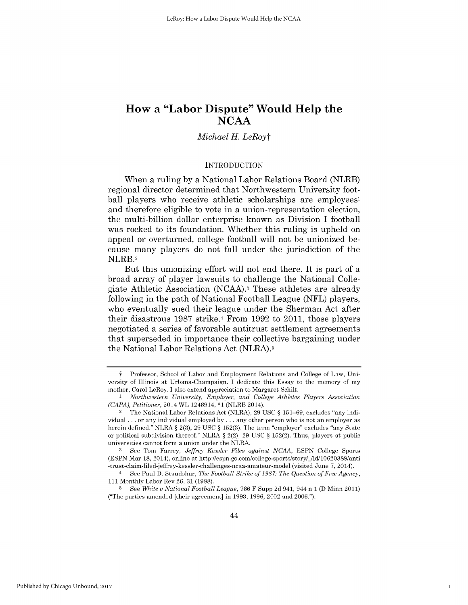# *Michael H. LeRoyt*

#### **INTRODUCTION**

When a ruling **by** a National Labor Relations Board (NLRB) regional director determined that Northwestern University football players who receive athletic scholarships are employees' and therefore eligible to vote in a union-representation election, the multi-billion dollar enterprise known as Division **I** football was rocked to its foundation. Whether this ruling is upheld on appeal or overturned, college football will not be unionized because many players do not fall under the jurisdiction of the NLRB.2

But this unionizing effort will not end there. It is part of a broad array of player lawsuits to challenge the National Collegiate Athletic Association **(NCAA).3** These athletes are already following in the path of National Football League **(NFL)** players, who eventually sued their league under the Sherman Act after their disastrous **1987** strike.4 From **1992** to 2011, those players negotiated a series of favorable antitrust settlement agreements that superseded in importance their collective bargaining under the National Labor Relations Act (NLRA).5

1

**f Professor, School of Labor and Employment Relations and College of Law,** University of Illinois at Urbana-Champaign. **I** dedicate this Essay to the memory of my mother, Carol LeRoy. **I** also extend appreciation to Margaret Schilt.

**I** *Northwestern University, Employer, and College Athletes Players Association (CAPA), Petitioner,* 2014 WL 1246914, **\*1** (NLRB 2014).

<sup>2</sup> The National Labor Relations Act (NLRA), **29 USC** *§* **151-69,** excludes "any individual **.** . **.** or any individual employed **by .** . **.** any other person who is not an employer as herein defined." NLRA *§* **2(3), 29 USC** *§* **152(3).** The term "employer" excludes "any State or political subdivision thereof." NLRA *§* 2(2), **29 USC** *§* **152(2).** Thus, players at public universities cannot form a union under the NLRA.

**<sup>3</sup>** See Tom Farrey, *Jeffrey Kessler Files against NCAA,* **ESPN** College Sports **(ESPN** Mar **18,** 2014), online at http://espn.go.com/college-sports/story/\_/id/10620388/anti -trust-claim-filed-jeffrey-kessler-challenges-ncaa-amateur-model (visited June **7,** 2014).

<sup>4</sup> See Paul **D.** Staudohar, *The Football Strike of 1987: The Question of Free Agency,* **111** Monthly Labor Rev **26, 31 (1988).**

**<sup>5</sup>** See *White v National Football League,* **766** F Supp **2d** 941, 944 n **1 (D** Minn 2011) ("The parties amended [their agreement] in **1993, 1996,** 2002 and **2006.").**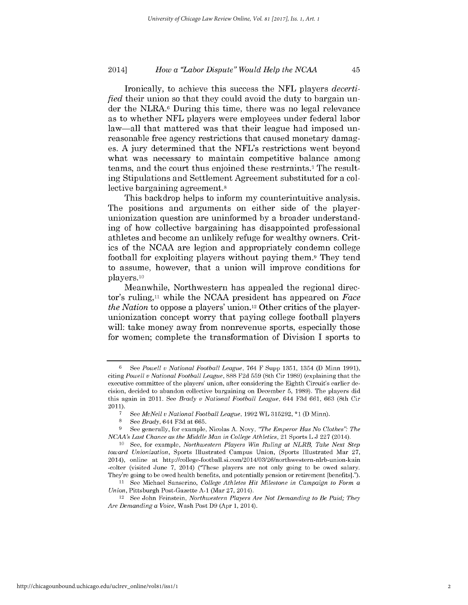Ironically, to achieve this success the **NFL** players *decertified* their union so that they could avoid the duty to bargain under the NLRA.6 During this time, there was no legal relevance as to whether **NFL** players were employees under federal labor law-all that mattered was that their league had imposed unreasonable free agency restrictions that caused monetary damages. **A** jury determined that the NFL's restrictions went beyond what was necessary to maintain competitive balance among teams, and the court thus enjoined these restraints.7 The resulting Stipulations and Settlement Agreement substituted for a collective bargaining agreement.<sup>8</sup>

This backdrop helps to inform my counterintuitive analysis. The positions and arguments on either side of the playerunionization question are uninformed **by** a broader understanding of how collective bargaining has disappointed professional athletes and become an unlikely refuge for wealthy owners. Critics of the **NCAA** are legion and appropriately condemn college football for exploiting players without paying them.9 They tend to assume, however, that a union will improve conditions for players. **10**

Meanwhile, Northwestern has appealed the regional director's ruling,<sup>11</sup> while the NCAA president has appeared on *Face the Nation* to oppose a players' union.12 Other critics of the playerunionization concept worry that paying college football players will: take money away from nonrevenue sports, especially those for women; complete the transformation of Division **I** sports to

**<sup>8</sup>***See Brady,* 644 **F3d** at **665.**

**<sup>6</sup>**See *Powell v National Football League, 764* F Supp **1351,** 1354 **(D** Minn **1991),** citing *Powell v National Football League, 888* **F2d 559** (8th Cir **1989)** (explaining that the executive committee of the players' union, after considering the Eighth Circuit's earlier decision, decided to abandon collective bargaining on December **5, 1989).** The players did this again in 2011. See *Brady v National Football League,* 644 **F3d** *661, 663* (8th Cir 2011).

**<sup>7</sup>**See *McNeil v National Football League,* **1992** WL **315292, \*1 (D** Minn).

**<sup>9</sup>** See generally, for example, Nicolas **A.** Novy, *"The Emperor Has No Clothes". The NCAA's Last Chance as the Middle Man in College Athletics,* 21 Sports L **J 227** (2014).

**<sup>10</sup>**See, for example, *Northwestern Players Win Ruling at NLRB, Take Next Step toward Unionization,* Sports Illustrated Campus Union, (Sports Illustrated Mar **27,** 2014), online at http://college-football.si.com/2014/03/26/northwestern-nlrb-union-kain -colter (visited June **7,** 2014) ("These players are not only going to be owed salary. They're going to be owed health benefits, and potentially pension or retirement [benefits].").

**<sup>11</sup>**See Michael Sanserino, *College Athletes Hit Milestone in Campaign to Form a Union,* Pittsburgh Post-Gazette **A-1** (Mar **27,** 2014).

<sup>12</sup> See John Feinstein, *Northwestern Players Are Not Demanding to Be Paid; They Are Demanding a Voice,* Wash Post **D9** (Apr **1,** 2014).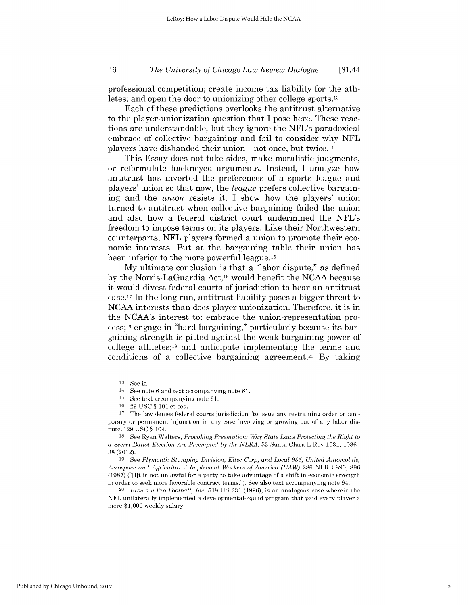### *The University of Chicago Law Review Dialogue* 46 [81:44

professional competition; create income tax liability for the athletes; and open the door to unionizing other college sports.13

Each of these predictions overlooks the antitrust alternative to the player-unionization question that **I** pose here. These reactions are understandable, but they ignore the NFL's paradoxical embrace of collective bargaining and fail to consider why **NFL** players have disbanded their union-not once, but twice.14

This Essay does not take sides, make moralistic judgments, or reformulate hackneyed arguments. Instead, **I** analyze how antitrust has inverted the preferences of a sports league and players' union so that now, the *league* prefers collective bargaining and the *union* resists it. **I** show how the players' union turned to antitrust when collective bargaining failed the union and also how a federal district court undermined the NFL's freedom to impose terms on its players. Like their Northwestern counterparts, **NFL** players formed a union to promote their economic interests. But at the bargaining table their union has been inferior to the more powerful league.<sup>15</sup>

**My** ultimate conclusion is that a "labor dispute," as defined **by** the Norris-LaGuardia Act,16 would benefit the **NCAA** because it would divest federal courts of jurisdiction to hear an antitrust case. 7 In the long run, antitrust liability poses a bigger threat to **NCAA** interests than does player unionization. Therefore, it is in the NCAA's interest to: embrace the union-representation process;18 engage in "hard bargaining," particularly because its bargaining strength is pitted against the weak bargaining power of college athletes;<sup>19</sup> and anticipate implementing the terms and conditions of a collective bargaining agreement.<sup>20</sup> By taking

**<sup>13</sup>**See id.

<sup>14</sup> See note **6** and text accompanying note **61.**

**<sup>15</sup>**See text accompanying note **61.**

**<sup>16</sup>29 USC** *§* **101** et seq.

**<sup>17</sup>** The law denies federal courts jurisdiction "to issue any restraining order or temporary or permanent injunction in any case involving or growing out of any labor dispute." **29 USC** *§* 104.

**<sup>18</sup>**See Ryan Walters, *Provoking Preemption: Why State Laws Protecting the Right to a Secret Ballot Election Are Preempted by the NLRA,* **52** Santa Clara L Rev **1031, 1036- 38 (2012).**

**<sup>19</sup>**See *Plymouth Stamping Division, Eltec Corp, and Local 985, United Automobile, Aerospace and Agricultural Implement Workers of America (UAW)* **286** NLRB **890, 896 (1987)** ("[I]t is not unlawful for a party to take advantage of a shift in economic strength in order to seek more favorable contract terms."). See also text accompanying note 94.

<sup>20</sup>*Brown v Pro Football, Inc,* **518 US 231 (1996),** is an analogous case wherein the **NFL** unilaterally implemented a developmental-squad program that paid every player a mere **\$1,000** weekly salary.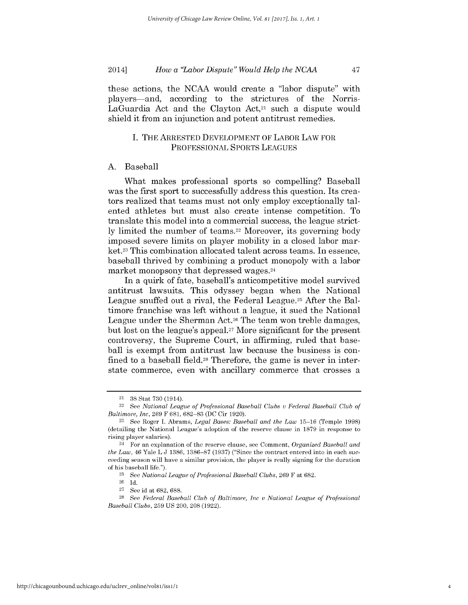these actions, the **NCAA** would create a "labor dispute" with players-and, according to the strictures of the Norris-LaGuardia Act and the Clayton Act, $21$  such a dispute would shield it from an injunction and potent antitrust remedies.

### **I.** THE ARRESTED **DEVELOPMENT** OF LABOR LAW FOR **PROFESSIONAL** SPORTS **LEAGUES**

### **A.** Baseball

What makes professional sports so compelling? Baseball was the first sport to successfully address this question. Its creators realized that teams must not only employ exceptionally talented athletes but must also create intense competition. To translate this model into a commercial success, the league strictly limited the number of teams.<sup>22</sup> Moreover, its governing body imposed severe limits on player mobility in a closed labor market.23 This combination allocated talent across teams. In essence, baseball thrived **by** combining a product monopoly with a labor market monopsony that depressed wages.<sup>24</sup>

In a quirk of fate, baseball's anticompetitive model survived antitrust lawsuits. This odyssey began when the National League snuffed out a rival, the Federal League.<sup>25</sup> After the Baltimore franchise was left without a league, it sued the National League under the Sherman Act.26 The team won treble damages, but lost on the league's appeal.27 More significant for the present controversy, the Supreme Court, in affirming, ruled that baseball is exempt from antitrust law because the business is confined to a baseball field.<sup>28</sup> Therefore, the game is never in interstate commerce, even with ancillary commerce that crosses a

<sup>21</sup>**38** Stat **730** (1914).

<sup>22</sup> See *National League of Professional Baseball Clubs v Federal Baseball Club of Baltimore, Inc,* **269** F **681, 682-83 (DC** Cir **1920).**

**<sup>23</sup>**See Roger **I.** Abrams, *Legal Bases: Baseball and the Law* **15-16** (Temple **1998)** (detailing the National League's adoption of the reserve clause in **1879** in response to rising player salaries).

<sup>24</sup> For an explanation of the reserve clause, see Comment, *Organized Baseball and the Law,* 46 Yale L **J 1386, 1386-87 (1937)** ("Since the contract entered into in each succeeding season will have a similar provision, the player is really signing for the duration of his baseball life.").

**<sup>25</sup>**See *National League of Professional Baseball Clubs,* **269** F at **682.**

**<sup>26</sup> Id.**

**<sup>27</sup>**See id at **682,** *688.*

**<sup>28</sup>**See *Federal Baseball Club of Baltimore, Inc v National League of Professional Baseball Clubs,* **259 US** 200, 208 **(1922).**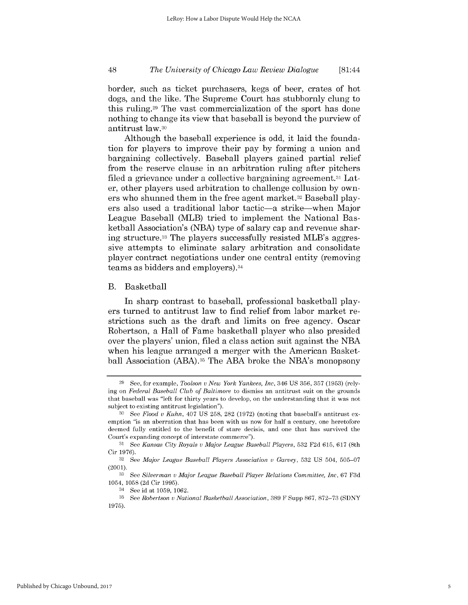### *The University of Chicago Law Review Dialogue* 48 [81:44

border, such as ticket purchasers, kegs of beer, crates of hot dogs, and the like. The Supreme Court has stubbornly clung to this ruling.29 The vast commercialization of the sport has done nothing to change its view that baseball is beyond the purview of antitrust law.30

Although the baseball experience is odd, it laid the foundation for players to improve their pay **by** forming a union and bargaining collectively. Baseball players gained partial relief from the reserve clause in an arbitration ruling after pitchers filed a grievance under a collective bargaining agreement.<sup>31</sup> Later, other players used arbitration to challenge collusion **by** owners who shunned them in the free agent market.<sup>32</sup> Baseball players also used a traditional labor tactic-a strike-when Major League Baseball (MLB) tried to implement the National Basketball Association's **(NBA)** type of salary cap and revenue sharing structure. 33 The players successfully resisted MLB's aggressive attempts to eliminate salary arbitration and consolidate player contract negotiations under one central entity (removing teams as bidders and employers).34

#### B. Basketball

In sharp contrast to baseball, professional basketball players turned to antitrust law to find relief from labor market restrictions such as the draft and limits on free agency. Oscar Robertson, a Hall of Fame basketball player who also presided over the players' union, filed a class action suit against the **NBA** when his league arranged a merger with the American Basketball Association (ABA).35 The **ABA** broke the NBA's monopsony

**<sup>29</sup>** See, for example, *Toolson v New York Yankees, Inc,* 346 **US 356, 357 (1953)** (relying on *Federal Baseball Club of Baltimore* to dismiss an antitrust suit on the grounds that baseball was "left for thirty years to develop, on the understanding that it was not subject to existing antitrust legislation").

**<sup>30</sup>** See *Flood v Kuhn,* 407 **US 258,** 282 **(1972)** (noting that baseball's antitrust exemption "is an aberration that has been with us now for half a century, one heretofore deemed fully entitled to the benefit of stare decisis, and one that has survived the Court's expanding concept of interstate commerce").

**<sup>31</sup>**See *Kansas City Royals v Major League Baseball Players,* **532 F2d 615, 617** (8th Cir **1976).**

**<sup>32</sup>**See *Major League Baseball Players Association v Garvey,* **532 US** 504, **505-07** (2001).

**<sup>33</sup>**See *Silverman v Major League Baseball Player Relations Committee, Inc,* **67 F3d** 1054, **1058 (2d** Cir **1995).**

<sup>34</sup> See id at **1059, 1062.**

**<sup>35</sup>**See *Robertson v National Basketball Association,* **389** F Supp **867, 872-73 (SDNY 1975).**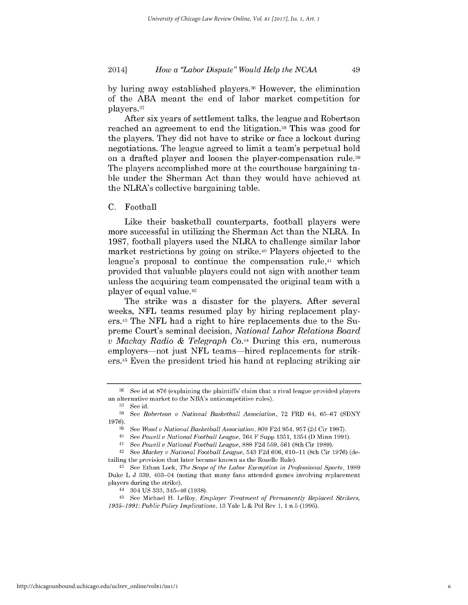**by** luring away established players.36 However, the elimination of the **ABA** meant the end of labor market competition for players.37

After six years of settlement talks, the league and Robertson reached an agreement to end the litigation.38 This was good for the players. They **did** not have to strike or face a lockout during negotiations. The league agreed to limit a team's perpetual hold on a drafted player and loosen the player-compensation rule.39 The players accomplished more at the courthouse bargaining table under the Sherman Act than they would have achieved at the NLRA's collective bargaining table.

### **C.** Football

Like their basketball counterparts, football players were more successful in utilizing the Sherman Act than the NLRA. In **1987,** football players used the NLRA to challenge similar labor market restrictions **by** going on strike.40 Players objected to the league's proposal to continue the compensation rule,<sup>41</sup> which provided that valuable players could not sign with another team unless the acquiring team compensated the original team with a player of equal value.42

The strike was a disaster for the players. After several weeks, **NFL** teams resumed play **by** hiring replacement players.43 The **NFL** had a right to hire replacements due to the Supreme Court's seminal decision, *National Labor Relations Board v Mackay Radio & Telegraph Co.44* During this era, numerous employers—not just NFL teams—hired replacements for strikers.45 Even the president tried his hand at replacing striking air

**<sup>36</sup>**See id at **876** (explaining the plaintiffs' claim that a rival league provided players an alternative market to the NBA's anticompetitive rules).

**<sup>37</sup>**See id.

**<sup>38</sup>***See Robertson v National Basketball Association,* **72** FRD 64, **65-67 (SDNY 1976).**

**<sup>39</sup>**See *Wood v National Basketball Association,* **809 F2d** 954, **957 (2d** Cir **1987).**

<sup>40</sup>*See Powell v National Football League,* 764 F Supp **1351,** 1354 **(D** Minn **1991).**

<sup>41</sup>*See Powell v National Football League, 888* **F2d 559, 561** (8th Cir **1989).**

<sup>42</sup> *See Mackey v National Football League,* 543 **F2d** *606, 610-11* (8th Cir **1976)** (detailing the provision that later became known as the Rozelle Rule).

<sup>43</sup> See Ethan Lock, *The Scope of the Labor Exemption in Professional Sports, 1989* Duke L **J 339,** 403-04 (noting that many fans attended games involving replacement players during the strike).

<sup>44 304</sup> **US 333,** 345-46 **(1938).**

<sup>45</sup> See Michael H. LeRoy, *Employer Treatment of Permanently Replaced Strikers, 1935-1991: Public Policy Implications,* **13** Yale L **&** Pol Rev **1, 1** n **5 (1995).**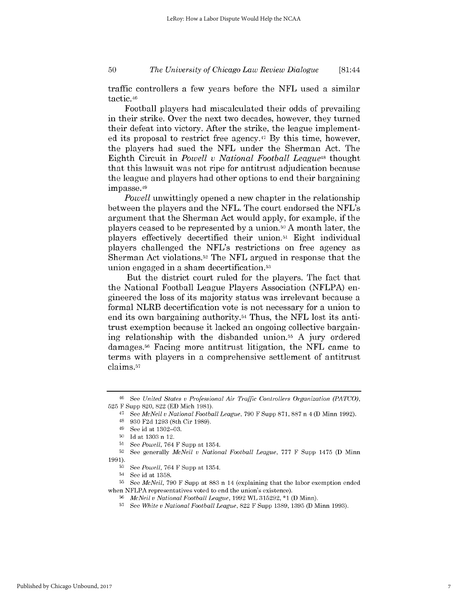### *The University of Chicago Law Review Dialogue* **50** [81:44

traffic controllers a few years before the **NFL** used a similar tactic. 46

Football players had miscalculated their odds of prevailing in their strike. Over the next two decades, however, they turned their defeat into victory. After the strike, the league implemented its proposal to restrict free agency. <sup>47</sup>**By** this time, however, the players had sued the **NFL** under the Sherman Act. The Eighth Circuit in *Powell v National Football League48* thought that this lawsuit was not ripe for antitrust adjudication because the league and players had other options to end their bargaining impasse. <sup>49</sup>

*Powell* unwittingly opened a new chapter in the relationship between the players and the **NFL.** The court endorsed the NFL's argument that the Sherman Act would apply, for example, **if** the players ceased to be represented **by** a union.50 **A** month later, the players effectively decertified their union.5' Eight individual players challenged the NFL's restrictions on free agency as Sherman Act violations.52 The **NFL** argued in response that the union engaged in a sham decertification.53

But the district court ruled for the players. The fact that the National Football League Players Association **(NFLPA)** engineered the loss of its majority status was irrelevant because a formal NLRB decertification vote is not necessary for a union to end its own bargaining authority.54 Thus, the **NFL** lost its antitrust exemption because it lacked an ongoing collective bargaining relationship with the disbanded union.55 **A** jury ordered damages.6 Facing more antitrust litigation, the **NFL** came to terms with players in a comprehensive settlement of antitrust claims.57

<sup>46</sup> See *United States v Professional Air Traffic Controllers Organization (PATCO),* **525** F Supp 820, 822 **(ED** Mich **1981).**

<sup>47</sup>*See McNeil v National Football League,* **790** F Supp **871, 887** n *4* **(D** Minn **1992).**

<sup>48</sup>**930 F2d 1293** (8th Cir **1989).**

<sup>49</sup> See id at **1302-03.**

**<sup>50</sup> Id** at **1303** n 12.

**<sup>51</sup>***See Powell,* 764 F Supp at 1354.

**<sup>52</sup>**See generally *McNeil v National Football League,* **777** F Supp 1475 **(D** Minn **1991).**

**<sup>53</sup>***See Powell,* 764 F Supp at 1354.

<sup>54</sup> See id at **1358.**

**<sup>55</sup>***See McNeil,* **790** F Supp at **883** n 14 (explaining that the labor exemption ended when **NFLPA** representatives voted to end the union's existence).

**<sup>56</sup>***McNeil v National Football League,* **1992** WL **315292, \*1 (D** Minn).

**<sup>57</sup>**See *White v National Football League,* 822 F Supp **1389, 1395 (D** Minn **1993).**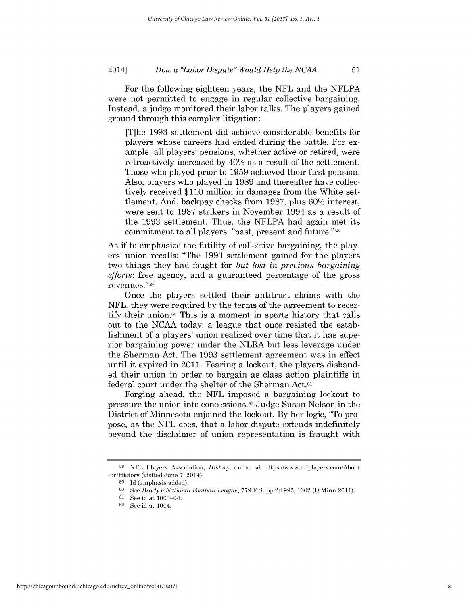For the following eighteen years, the **NFL** and the **NFLPA** were not permitted to engage in regular collective bargaining. Instead, a judge monitored their labor talks. The players gained ground through this complex litigation:

[T]he **1993** settlement **did** achieve considerable benefits for players whose careers had ended during the battle. For example, all players' pensions, whether active or retired, were retroactively increased **by** 40% as a result of the settlement. Those who played prior to **1959** achieved their first pension. Also, players who played in **1989** and thereafter have collectively received **\$110** million in damages from the White settlement. And, backpay checks from **1987,** plus **60%** interest, were sent to **1987** strikers in November 1994 as a result of the **1993** settlement. Thus, the **NFLPA** had again met its commitment to all players, "past, present and future."58

As **if** to emphasize the futility of collective bargaining, the players' union recalls: "The **1993** settlement gained for the players two things they had fought for *but lost in previous bargaining efforts:* free agency, and a guaranteed percentage of the gross revenues."69

Once the players settled their antitrust claims with the **NFL,** they were required **by** the terms of the agreement to recertify their union.<sup>60</sup> This is a moment in sports history that calls out to the **NCAA** today: a league that once resisted the establishment of a players' union realized over time that it has superior bargaining power under the NLRA but less leverage under the Sherman Act. The **1993** settlement agreement was in effect until it expired in 2011. Fearing a lockout, the players disbanded their union in order to bargain as class action plaintiffs in federal court under the shelter of the Sherman Act.61

Forging ahead, the **NFL** imposed a bargaining lockout to pressure the union into concessions. 62 Judge Susan Nelson in the District of Minnesota enjoined the lockout. **By** her logic, "To propose, as the **NFL** does, that a labor dispute extends indefinitely beyond the disclaimer of union representation is fraught with

**<sup>58</sup>NFL** Players Association, *History,* online at https://www.nflplayers.com/About -us/History (visited June **7,** 2014).

**<sup>59</sup> Id** (emphasis added).

**<sup>60</sup>**See *Brady v National Football League,* **779** F Supp **2d 992, 1002 (D** Minn 2011).

**<sup>61</sup>**See id at 1003-04.

**<sup>62</sup>**See id at 1004.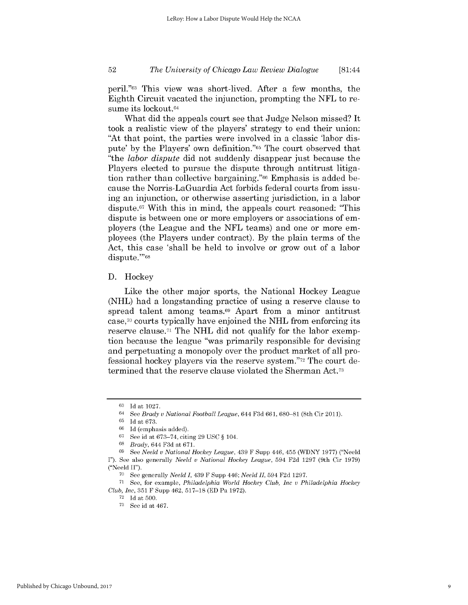# *The University of Chicago Law Review Dialogue* **52** [81:44

peril."63 This view was short-lived. After a few months, the Eighth Circuit vacated the injunction, prompting the **NFL** to resume its lockout.<sup>64</sup>

What **did** the appeals court see that Judge Nelson missed? It took a realistic view of the players' strategy to end their union: "At that point, the parties were involved in a classic 'labor **dis**pute' **by** the Players' own definition."65 The court observed that "the *labor dispute* **did** not suddenly disappear just because the Players elected to pursue the dispute through antitrust litigation rather than collective bargaining."66 Emphasis is added because the Norris-LaGuardia Act forbids federal courts from **issu**ing an injunction, or otherwise asserting jurisdiction, in a labor dispute.67 With this in mind, the appeals court reasoned: "This dispute is between one or more employers or associations of employers (the League and the **NFL** teams) and one or more employees (the Players under contract). **By** the plain terms of the Act, this case 'shall be held to involve or grow out of a labor dispute."'68

### **D.** Hockey

Like the other major sports, the National Hockey League **(NHL)** had a longstanding practice of using a reserve clause to spread talent among teams.<sup>69</sup> Apart from a minor antitrust case,70 courts typically have enjoined the **NHL** from enforcing its reserve clause.7' The **NHL did** not qualify for the labor exemption because the league "was primarily responsible for devising and perpetuating a monopoly over the product market of all professional hockey players via the reserve system."72 The court determined that the reserve clause violated the Sherman Act.73

**<sup>63</sup> Id** at **1027.**

<sup>64</sup>*See Brady v National Football League, 644* **F3d** *661, 680-81* (8th Cir **2011).**

**<sup>65</sup> Id** at **673.**

**<sup>66</sup> Id** (emphasis added).

**<sup>67</sup>**See id at **673-74,** citing **29 USC** *§* 104.

**<sup>68</sup>***Brady,* 644 **F3d** at **671.**

**<sup>69</sup>***See Neeld v National Hockey League,* 439 F Supp 446, 455 (WDNY **1977)** ("Neeld **I").** See also generally *Neeld v National Hockey League,* 594 **F2d 1297** (9th Cir **1979)** ("Neeld **II").**

**<sup>70</sup>**See generally *Neeld I,* 439 F Supp 446; *Neeld II,* 594 **F2d 1297.**

**<sup>71</sup>**See, for example, *Philadelphia World Hockey Club, Inc v Philadelphia Hockey Club, Inc,* **351** F Supp 462, **517-18 (ED** Pa **1972).**

**<sup>72</sup> Id** at **500.**

**<sup>73</sup>**See id at 467.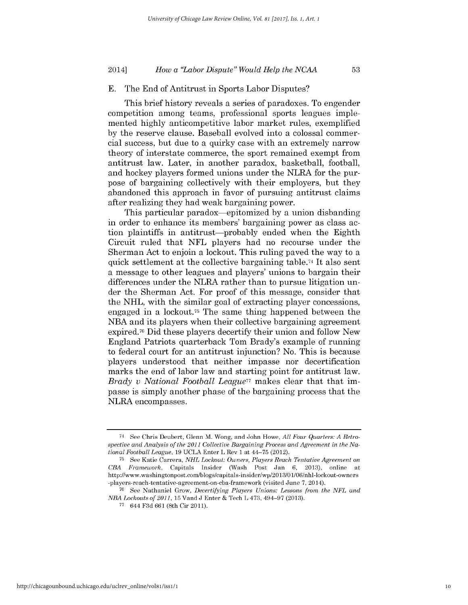#### **E.** The End of Antitrust in Sports Labor Disputes?

This brief history reveals a series of paradoxes. To engender competition among teams, professional sports leagues implemented **highly** anticompetitive labor market rules, exemplified **by** the reserve clause. Baseball evolved into a colossal commercial success, but due to a quirky case with an extremely narrow theory of interstate commerce, the sport remained exempt from antitrust law. Later, in another paradox, basketball, football, and hockey players formed unions under the NLRA for the purpose of bargaining collectively with their employers, but they abandoned this approach in favor of pursuing antitrust claims after realizing they had weak bargaining power.

This particular paradox-epitomized **by** a union disbanding in order to enhance its members' bargaining power as class action plaintiffs in antitrust-probably ended when the Eighth Circuit ruled that **NFL** players had no recourse under the Sherman Act to enjoin a lockout. This ruling paved the way to a quick settlement at the collective bargaining table.74 It also sent a message to other leagues and players' unions to bargain their differences under the NLRA rather than to pursue litigation under the Sherman Act. For proof of this message, consider that the **NHL,** with the similar goal of extracting player concessions, engaged in a lockout.75 The same thing happened between the **NBA** and its players when their collective bargaining agreement expired.76 Did these players decertify their union and follow New England Patriots quarterback Tom Brady's example of running to federal court for an antitrust injunction? No. This is because players understood that neither impasse nor decertification marks the end of labor law and starting point for antitrust law. *Brady v National Football League7'* makes clear that that **im**passe is simply another phase of the bargaining process that the NLRA encompasses.

<sup>74</sup> See Chris Deubert, Glenn M. Wong, and John Howe, *All Four Quarters: A Retrospective and Analysis of the 2011 Collective Bargaining Process and Agreement in the National Football League,* **19 UCLA** Enter L Rev **1** at 44-75 (2012).

**<sup>75</sup>**See Katie Carrera, *NHL Lockout: Owners, Players Reach Tentative Agreement on CBA Framework,* Capitals Insider (Wash Post Jan **6, 2013),** online at http://www.washingtonpost.comlblogs/capitals-insider/wp/2013/01/06/nhl-lockout-owners -players-reach-tentative-agreement-on-cba-framework (visited June **7,** 2014).

**<sup>76</sup>**See Nathaniel Grow, *Decertifying Players Unions: Lessons from the NFL and NBA Lockouts of 2011,* **15** Vand **J** Enter **&** Tech L 473, 494-97 **(2013).**

**<sup>77</sup>**644 F3d 661 (8th Cir 2011).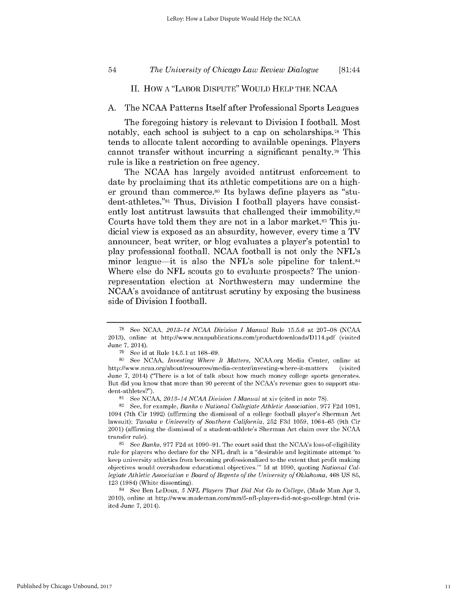### *The University of Chicago Law Review Dialogue* 54 [81:44

# **II.** HOW **A** "LABOR DISPUTE" WOULD HELP THE **NCAA**

#### **A.** The **NCAA** Patterns Itself after Professional Sports Leagues

The foregoing history is relevant to Division **I** football. Most notably, each school is subject to a cap on scholarships.78 This tends to allocate talent according to available openings. Players cannot transfer without incurring a significant penalty.79 This rule is like a restriction on free agency.

The **NCAA** has largely avoided antitrust enforcement to date **by** proclaiming that its athletic competitions are on a **high**er ground than commerce.80 Its bylaws define players as "student-athletes."81 Thus, Division **I** football players have consistently lost antitrust lawsuits that challenged their immobility.<sup>82</sup> Courts have told them they are not in a labor market.83 This **ju**dicial view is exposed as an absurdity, however, every time a TV announcer, beat writer, or blog evaluates a player's potential to play professional football. **NCAA** football is not only the NFL's minor league—it is also the NFL's sole pipeline for talent.<sup>84</sup> Where else do **NFL** scouts go to evaluate prospects? The unionrepresentation election at Northwestern may undermine the NCAA's avoidance of antitrust scrutiny **by** exposing the business side of Division **I** football.

**<sup>78</sup>**See **NCAA,** *2013-14 NCAA Division I Manual* Rule **15.5.6** at **207-08 (NCAA 2013),** online at http://www.ncaapublications.com/productdownloads/D114.pdf (visited June **7,** 2014).

**<sup>79</sup>**See id at Rule 14.5.1 at **168-69.**

**<sup>80</sup>**See **NCAA,** *Investing Where It Matters,* NCAA.org Media Center, online at http://www.ncaa.org/about/resources/media-center/investing-where-it-matters (visited June **7,** 2014) ("There is a lot of talk about how much money college sports generates. But did you know that more than **90** percent of the NCAA's revenue goes to support student-athletes?").

**<sup>81</sup>**See **NCAA,** *2013-14 NCAA Division I Manual* at xiv (cited in note **78).**

**<sup>82</sup>**See, for example, *Banks v National Collegiate Athletic Association,* **977 F2d 1081,** 1094 (7th Cir **1992)** (affirming the dismissal of a college football player's Sherman Act lawsuit); *Tanaka v University of Southern California,* **252 F3d 1059, 1064-65** (9th Cir 2001) (affirming the dismissal of a student-athlete's Sherman Act claim over the **NCAA** transfer rule).

**<sup>83</sup>**See *Banks,* **977 F2d** at **1090-91.** The court said that the NCAA's loss-of-eligibility rule for players who declare for the **NFL** draft is a "desirable and legitimate attempt 'to keep university athletics from becoming professionalized to the extent that profit making objectives would overshadow educational objectives."' **Id** at **1090,** quoting *National Collegiate Athletic Association v Board of Regents of the University of Oklahoma,* 468 **US 85, 123** (1984) (White dissenting).

<sup>84</sup> See Ben LeDoux, *5 NFL Players That Did Not Go to College,* (Made Man Apr **3,** 2010), online at http://www.mademan.com/mm/5-nfl-players-did-not-go-college.html (visited June **7,** 2014).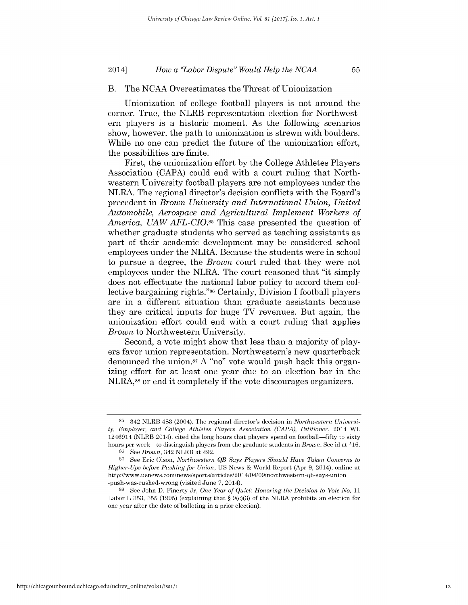### B. The **NCAA** Overestimates the Threat of Unionization

Unionization of college football players is not around the corner. True, the NLRB representation election for Northwestern players is a historic moment. As the following scenarios show, however, the path to unionization is strewn with boulders. While no one can predict the future of the unionization effort, the possibilities are finite.

First, the unionization effort **by** the College Athletes Players Association **(CAPA)** could end with a court ruling that Northwestern University football players are not employees under the NLRA. The regional director's decision conflicts with the Board's precedent in *Brown University and International Union, United Automobile, Aerospace and Agricultural Implement Workers of America, UAW AFL-CIO.85* This case presented the question of whether graduate students who served as teaching assistants as part of their academic development may be considered school employees under the NLRA. Because the students were in school to pursue a degree, the *Brown* court ruled that they were not employees under the NLRA. The court reasoned that "it simply does not effectuate the national labor policy to accord them collective bargaining rights."86 Certainly, Division **I** football players are in a different situation than graduate assistants because they are critical inputs for huge TV revenues. But again, the unionization effort could end with a court ruling that applies *Brown* to Northwestern University.

Second, a vote might show that less than a majority of players favor union representation. Northwestern's new quarterback denounced the union.<sup>87</sup> A "no" vote would push back this organizing effort for at least one year due to an election bar in the **NLRA,88** or end it completely **if** the vote discourages organizers.

**<sup>85</sup>** 342 NLRB 483 (2004). The regional director's decision in *Northwestern University, Employer, and College Athletes Players Association (CAPA), Petitioner,* 2014 WL 1246914 (NLRB 2014), cited the long hours that players spend on football-fifty to sixty hours per week-to distinguish players from the graduate students in *Brown.* See id at **\*16.**

**<sup>86</sup>**See *Brown,* 342 NLRB at 492.

**<sup>87</sup>**See Eric Olson, *Northwestern QB Says Players Should Have Taken Concerns to Higher- Ups before Pushing for Union,* **US** News **&** World Report (Apr **9,** 2014), online at http://www.usnews.com/news/sports/articles/20 14/04/09/northwestern-qb-says-union -push-was-rushed-wrong (visited June **7,** 2014).

**<sup>88</sup>**See John **D.** Finerty Jr, *One Year of Quiet: Honoring the Decision to Vote No, 11* Labor L **353, 355 (1995)** (explaining that *§* 9(c)(3) of the NLRA prohibits an election for one year after the date of balloting in a prior election).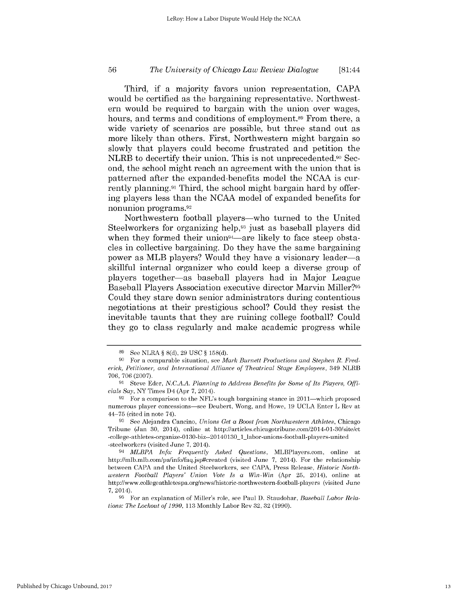### *The University of Chicago Law Review Dialogue* **56** [81:44

Third, **if** a majority favors union representation, **CAPA** would be certified as the bargaining representative. Northwestern would be required to bargain with the union over wages, hours, and terms and conditions of employment.<sup>89</sup> From there, a wide variety of scenarios are possible, but three stand out as more likely than others. First, Northwestern might bargain so slowly that players could become frustrated and petition the NLRB to decertify their union. This is not unprecedented.<sup>90</sup> Second, the school might reach an agreement with the union that **is** patterned after the expanded-benefits model the **NCAA** is currently planning.9' Third, the school might bargain hard **by** offering players less than the **NCAA** model of expanded benefits for nonunion programs. <sup>92</sup>

Northwestern football players—who turned to the United Steelworkers for organizing help,93 just as baseball players **did** when they formed their union<sup>94</sup>—are likely to face steep obstacles in collective bargaining. Do they have the same bargaining power as MLB players? Would they have a visionary leader-a skillful internal organizer who could keep a diverse group of players together-as baseball players had in Major League Baseball Players Association executive director Marvin Miller?96 Could they stare down senior administrators during contentious negotiations at their prestigious school? Could they resist the inevitable taunts that they are ruining college football? Could they go to class regularly and make academic progress while

**<sup>89</sup>**See NLRA *§* **8(d), 29 USC** *§* **158(d).**

**<sup>90</sup>** For a comparable situation, see *Mark Burnett Productions and Stephen R. Frederick, Petitioner, and International Alliance of Theatrical Stage Employees,* 349 NLRB **706, 706 (2007).**

**<sup>91</sup>** Steve Eder, *N.C.A.A. Planning to Address Benefits for Some of Its Players, Officials Say,* NY Times D4 (Apr **7,** 2014).

<sup>&</sup>lt;sup>92</sup> For a comparison to the NFL's tough bargaining stance in 2011—which proposed numerous player concessions-see Deubert, Wong, and Howe, **19 UCLA** Enter L Rev at 44-75 (cited in note 74).

**<sup>93</sup>**See Alejandra Cancino, *Unions Get a Boost from Northwestern Athletes,* Chicago Tribune (Jan **30,** 2014), online at http://articles.chicagotribune.com/2014-01-30/site/ct -college-athletes-organize-0130-biz--20 **140130** 1 labor-unions-football-players-united -steelworkers (visited June **7,** 2014).

<sup>94</sup>*MLBPA Info: Frequently Asked Questions,* MLBPlayers.com, online at http://mlb.mlb.com/pa/info/faq.jsp#created (visited June **7,** 2014). For the relationship between **CAPA** and the United Steelworkers, see **CAPA,** Press Release, *Historic Northwestern Football Players' Union Vote Is a Win-Win* (Apr **25,** 2014), online at http://www.collegeathletespa.org/news/historic-northwestern-football-players (visited June 7, 2014).

**<sup>95</sup>** For an explanation of Miller's role, see Paul **D.** Staudohar, *Baseball Labor Relations: The Lockout of 1990,* **113** Monthly Labor Rev **32, 32 (1990).**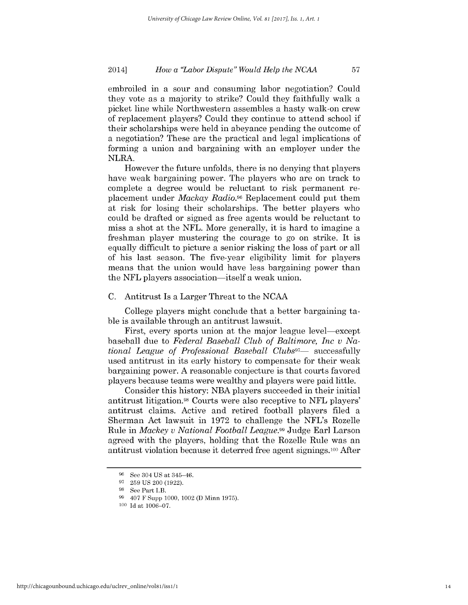embroiled in a sour and consuming labor negotiation? Could they vote as a majority to strike? Could they faithfully walk a picket line while Northwestern assembles a hasty walk-on crew of replacement players? Could they continue to attend school **if** their scholarships were held in abeyance pending the outcome of a negotiation? These are the practical and legal implications of forming a union and bargaining with an employer under the NLRA.

However the future unfolds, there is no denying that players have weak bargaining power. The players who are on track to complete a degree would be reluctant to risk permanent replacement under *Mackay Radio.96* Replacement could put them at risk for losing their scholarships. The better players who could be drafted or signed as free agents would be reluctant to miss a shot at the **NFL.** More generally, it is hard to imagine a freshman player mustering the courage to go on strike. It **is** equally difficult to picture a senior risking the loss of part or all of his last season. The five-year eligibility limit for players means that the union would have less bargaining power than the **NFL** players association-itself a weak union.

#### **C.** Antitrust Is a Larger Threat to the **NCAA**

College players might conclude that a better bargaining table is available through an antitrust lawsuit.

First, every sports union at the major league level—except baseball due to *Federal Baseball Club of Baltimore, Inc v National League of Professional Baseball Clubs"-* successfully used antitrust in its early history to compensate for their weak bargaining power. **A** reasonable conjecture is that courts favored players because teams were wealthy and players were paid little.

Consider this history: **NBA** players succeeded in their initial antitrust litigation.98 Courts were also receptive to **NFL** players' antitrust claims. Active and retired football players filed a Sherman Act lawsuit in **1972** to challenge the NFL's Rozelle Rule in *Mackey v National Football League.99* Judge Earl Larson agreed with the players, holding that the Rozelle Rule was an antitrust violation because it deterred free agent signings.100 After

**<sup>96</sup>**See 304 **US** at 345-46.

**<sup>97 259</sup> US** 200 **(1922).**

<sup>&</sup>lt;sup>98</sup> See Part I.B.

**<sup>9</sup>** 407 F Supp **1000,** 1002 **(D** Minn **1975).**

**<sup>100</sup>Id** at **1006-07.**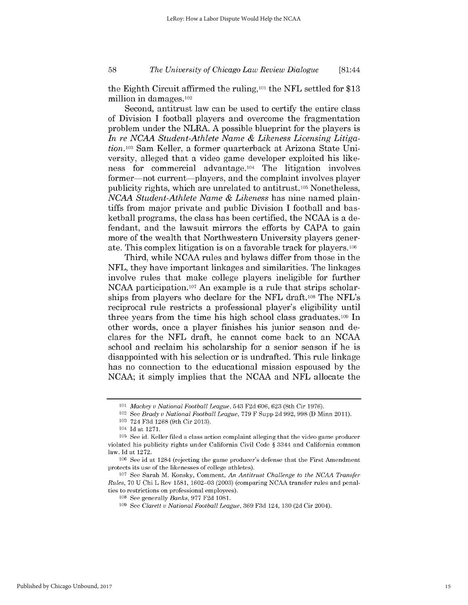### *The University of Chicago Law Review Dialogue* **58** [81:44

the Eighth Circuit affirmed the ruling,101 the **NFL** settled for **\$13** million in damages.102

Second, antitrust law can be used to certify the entire class of Division **I** football players and overcome the fragmentation problem under the NLRA. **A** possible blueprint for the players **is** *In re NCAA Student-Athlete Name & Likeness Licensing Litiga*tion.103 Sam Keller, a former quarterback at Arizona State University, alleged that a video game developer exploited his likeness for commercial advantage.104 The litigation involves former—not current—players, and the complaint involves player publicity rights, which are unrelated to antitrust.<sup>105</sup> Nonetheless, *NCAA Student-Athlete Name & Likeness* has nine named plaintiffs from major private and public Division **I** football and basketball programs, the class has been certified, the **NCAA** is a defendant, and the lawsuit mirrors the efforts **by CAPA** to gain more of the wealth that Northwestern University players generate. This complex litigation is on a favorable track for players.106

Third, while **NCAA** rules and bylaws differ from those in the **NFL,** they have important linkages and similarities. The linkages involve rules that make college players ineligible for further **NCAA** participation.107 An example is a rule that strips scholarships from players who declare for the **NFL** draft.108 The NFL's reciprocal rule restricts a professional player's eligibility until three years from the time his **high** school class graduates.109 In other words, once a player finishes his junior season and declares for the **NFL** draft, he cannot come back to an **NCAA** school and reclaim his scholarship for a senior season **if** he **is** disappointed with his selection or is undrafted. This rule linkage has no connection to the educational mission espoused **by** the **NCAA;** it simply implies that the **NCAA** and **NFL** allocate the

**<sup>101</sup>** *Mackey v National Football League,* 543 **F2d 606, 623** (8th Cir **1976).**

<sup>102</sup>See *Brady v National Football League,* **779** F Supp **2d 992, 998 (D** Minn 2011).

**<sup>103</sup>**724 **F3d 1268** (9th Cir **2013).**

<sup>104</sup>**Id** at **1271.**

**<sup>105</sup>**See id. Keller filed a class action complaint alleging that the video game producer violated his publicity rights under California Civil Code *§* 3344 and California common law. **Id** at **1272.**

**<sup>106</sup>**See id at 1284 (rejecting the game producer's defense that the First Amendment protects its use of the likenesses of college athletes).

**<sup>107</sup>**See Sarah M. Konsky, Comment, *An Antitrust Challenge to the NCAA Transfer Rules,* **70 U** Chi L Rev **1581, 1602-03 (2003)** (comparing **NCAA** transfer rules and penalties to restrictions on professional employees).

**<sup>108</sup>**See generally *Banks,* **977 F2d 1081.**

**<sup>109</sup>**See *Clarett v National Football League,* **369 F3d** 124, **130 (2d** Cir 2004).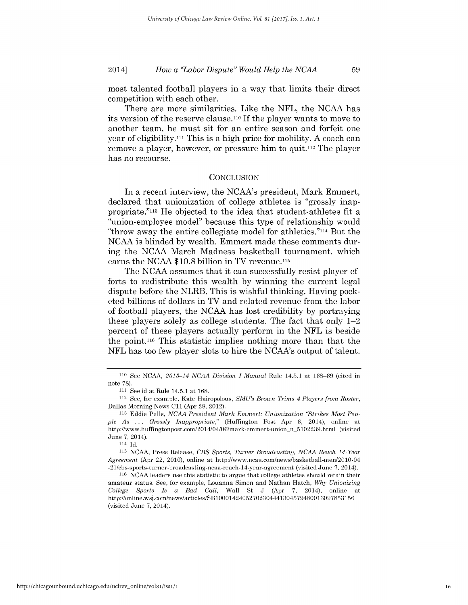most talented football players in a way that limits their direct competition with each other.

There are more similarities. Like the **NFL,** the **NCAA** has its version of the reserve clause.11o **If** the player wants to move to another team, he must sit for an entire season and forfeit one year of eligibility."' This is a **high** price for mobility. **A** coach can remove a player, however, or pressure him to **quit.112** The player has no recourse.

#### **CONCLUSION**

In a recent interview, the NCAA's president, Mark Emmert, declared that unionization of college athletes is "grossly mappropriate."113 He objected to the idea that student-athletes fit a "union-employee model" because this type of relationship would "throw away the entire collegiate model for athletics."114 But the **NCAA** is blinded **by** wealth. Emmert made these comments during the **NCAA** March Madness basketball tournament, which earns the **NCAA \$10.8** billion in TV revenue.115

The **NCAA** assumes that it can successfully resist player efforts to redistribute this wealth **by** winning the current legal dispute before the NLRB. This is wishful thinking. Having pocketed billions of dollars in TV and related revenue from the labor of football players, the **NCAA** has lost credibility **by** portraying these players solely as college students. The fact that only 1-2 percent of these players actually perform in the **NFL** is beside the **point.116** This statistic implies nothing more than that the **NFL** has too few player slots to hire the NCAA's output of talent.

114 **Id.**

**115 NCAA,** Press Release, *CBS Sports, Turner Broadcasting, NCAA Reach 14-Year Agreement* (Apr 22, 2010), online at http://www.ncaa.com/news/basketball-men/2010-04 -21/cbs-sports-turner-broadcasting-ncaa-reach-14-year-agreement (visited June **7,** 2014).

http://chicagounbound.uchicago.edu/uclrev\_online/vol81/iss1/1

**<sup>110</sup>**See **NCAA,** *2013-14 NCAA Division I Manual* Rule 14.5.1 at **168-69** (cited in note **78).**

**<sup>&</sup>quot;'I** See id at Rule 14.5.1 at **168.**

<sup>112</sup>See, for example, Kate Hairopolous, *SMU's Brown Trims 4 Players from Roster,* Dallas Morning News *C11* (Apr 28, 2012).

**<sup>113</sup>** Eddie Pells, *NCAA President Mark Emmert: Unionization "Strikes Most People As* **...** *Grossly Inappropriate,"* (Huffington Post Apr **6,** 2014), online at http://www.huffingtonpost.com/2014/04/06/mark-emmert-union n 5102239.html (visited June **7,** 2014).

**<sup>116</sup> NCAA** leaders use this statistic to argue that college athletes should retain their amateur status. See, for example, Louanna Simon and Nathan Hatch, *Why Unionizing College Sports Is a Bad Call,* Wall St **J** (Apr **7,** 2014), online at http://online.wsj.com/news/articles/SB10001424052702304441304579480013097853156 (visited June **7,** 2014).